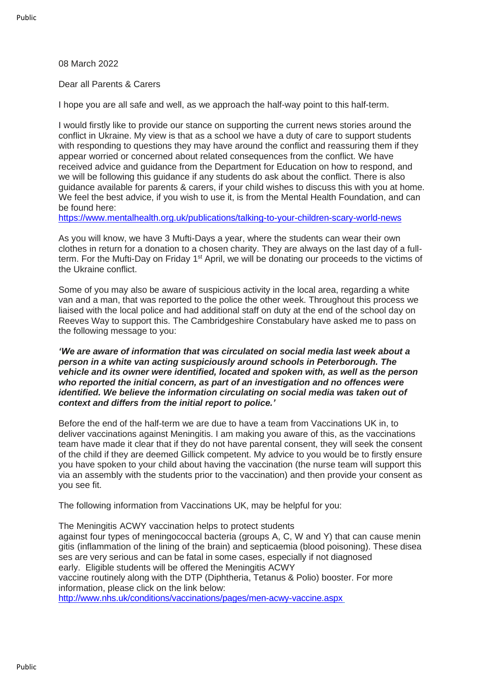08 March 2022

Dear all Parents & Carers

I hope you are all safe and well, as we approach the half-way point to this half-term.

I would firstly like to provide our stance on supporting the current news stories around the conflict in Ukraine. My view is that as a school we have a duty of care to support students with responding to questions they may have around the conflict and reassuring them if they appear worried or concerned about related consequences from the conflict. We have received advice and guidance from the Department for Education on how to respond, and we will be following this guidance if any students do ask about the conflict. There is also guidance available for parents & carers, if your child wishes to discuss this with you at home. We feel the best advice, if you wish to use it, is from the Mental Health Foundation, and can be found here:

[https://www.mentalhealth.org.uk/publications/talking-to-your-children-scary-world-news](https://eur01.safelinks.protection.outlook.com/?url=http%3A%2F%2Femail.groupcallalert.com%2Fls%2Fclick%3Fupn%3DQrOBJcca7DQpcdTvZvGK8aVXCvOi0SpsGty7zlwxPe3NlN2RCpnr8-2BkvjDUKGEnjZwxp1TXeP69HkCI4pg7BvDwwzDfxid2BlZtgHGpE3LLYgDzwlostzTi1akJc6wRLxHGL_7ly8V3WGHVLWVL0T-2FPGgZCp4IDQyJNtfyv-2FZ0g1MqbXPq0EUVbggHg-2F9Bk1EEZbwXpVOTywhFX3W9vS29UyEFh4u1CPhFanOhbWzhDb1Hi5cBhFW8HzS0b3BXBj1wg8AzqjoAM0Wo8enZTtTRCJWzJIV0QW-2FAkS7oCuxeMtd4ZaN9niOExvp7SNJftm3iW5RdeIvbSeAq0HS7b4q5w0dijoPs4QLmGAZgctCNNi2iEM5pZHAks7CcG1oCdsdhNVE-2BfndnwNl4tlnPCriZhqsa7tT3TtPR1MyMj66BVfuyJitcuKda-2BPdOvio7VxWx7VoQjtns49pwb3U2THisuMuNWwWKtympx7Y4FXH5b4z80yy1JLCT9jKcRLw5WYYW7VIyWo7BbOD-2By3KQ4irSpfBY1HwPjHcuWfmcgNdWQTmBeU-3D&data=04%7C01%7Calauch%40cityofpeterboroughacademy.org%7Cee88a7e5526b4782d42208da00d591f3%7Ca091745ab7d84d7ab2a61359053d4510%7C0%7C0%7C637823214685247011%7CUnknown%7CTWFpbGZsb3d8eyJWIjoiMC4wLjAwMDAiLCJQIjoiV2luMzIiLCJBTiI6Ik1haWwiLCJXVCI6Mn0%3D%7C3000&sdata=iTNNcLWSY%2FERERJnEge%2B1BA6f66F4Zme%2BvvQJPA467k%3D&reserved=0)

As you will know, we have 3 Mufti-Days a year, where the students can wear their own clothes in return for a donation to a chosen charity. They are always on the last day of a fullterm. For the Mufti-Day on Friday 1<sup>st</sup> April, we will be donating our proceeds to the victims of the Ukraine conflict.

Some of you may also be aware of suspicious activity in the local area, regarding a white van and a man, that was reported to the police the other week. Throughout this process we liaised with the local police and had additional staff on duty at the end of the school day on Reeves Way to support this. The Cambridgeshire Constabulary have asked me to pass on the following message to you:

*'We are aware of information that was circulated on social media last week about a person in a white van acting suspiciously around schools in Peterborough. The vehicle and its owner were identified, located and spoken with, as well as the person who reported the initial concern, as part of an investigation and no offences were identified. We believe the information circulating on social media was taken out of context and differs from the initial report to police.'*

Before the end of the half-term we are due to have a team from Vaccinations UK in, to deliver vaccinations against Meningitis. I am making you aware of this, as the vaccinations team have made it clear that if they do not have parental consent, they will seek the consent of the child if they are deemed Gillick competent. My advice to you would be to firstly ensure you have spoken to your child about having the vaccination (the nurse team will support this via an assembly with the students prior to the vaccination) and then provide your consent as you see fit.

The following information from Vaccinations UK, may be helpful for you:

The Meningitis ACWY vaccination helps to protect students against four types of meningococcal bacteria (groups A, C, W and Y) that can cause menin gitis (inflammation of the lining of the brain) and septicaemia (blood poisoning). These disea ses are very serious and can be fatal in some cases, especially if not diagnosed early. Eligible students will be offered the Meningitis ACWY vaccine routinely along with the DTP (Diphtheria, Tetanus & Polio) booster. For more information, please click on the link below: [http://www.nhs.uk/conditions/vaccinations/pages/men-acwy-vaccine.aspx](https://eur01.safelinks.protection.outlook.com/?url=http%3A%2F%2Femail.groupcallalert.com%2Fls%2Fclick%3Fupn%3DG5h51KXeZ-2BHqMUpMrIlpf83KApMdUjDHAtynfxRtxi13i2WVzi7S-2FsekZaJPg5lDf-2B-2FL3vwD-2FsftNSqOpKckcqBo4BFAONGlszcvn-2BZM3kY-3D8tbx_7ly8V3WGHVLWVL0T-2FPGgZCp4IDQyJNtfyv-2FZ0g1MqbXPq0EUVbggHg-2F9Bk1EEZbwXpVOTywhFX3W9vS29UyEFh4u1CPhFanOhbWzhDb1Hi5cBhFW8HzS0b3BXBj1wg8AzqjoAM0Wo8enZTtTRCJWzJIV0QW-2FAkS7oCuxeMtd4ZaN9niOExvp7SNJftm3iW5RdeIvbSeAq0HS7b4q5w0dijoPs4QLmGAZgctCNNi2iEM5pZHAks7CcG1oCdsdhNVE-2BfndnwNl4tlnPCriZhqsa-2FZLyOL1A5A-2FbSU5X12Ghj0FojSOSbDizEJiUyFRAJAydeWkDHe2njEHThL2Lk1PLE4GB-2BTxGtUkVZCZs1-2FwzHBDEhuCzmbZsYLPD0v7RLCLdH-2FMGvA2x-2BijOThYHDm7Q1OlPk9x4JYuVnxSfkTUTxI-3D&data=04%7C01%7Calauch%40cityofpeterboroughacademy.org%7Cee88a7e5526b4782d42208da00d591f3%7Ca091745ab7d84d7ab2a61359053d4510%7C0%7C0%7C637823214685247011%7CUnknown%7CTWFpbGZsb3d8eyJWIjoiMC4wLjAwMDAiLCJQIjoiV2luMzIiLCJBTiI6Ik1haWwiLCJXVCI6Mn0%3D%7C3000&sdata=MCUnbtVOAQJkcyI%2FUMrUvN8itDtih3pzsDaFEwpNy5c%3D&reserved=0)